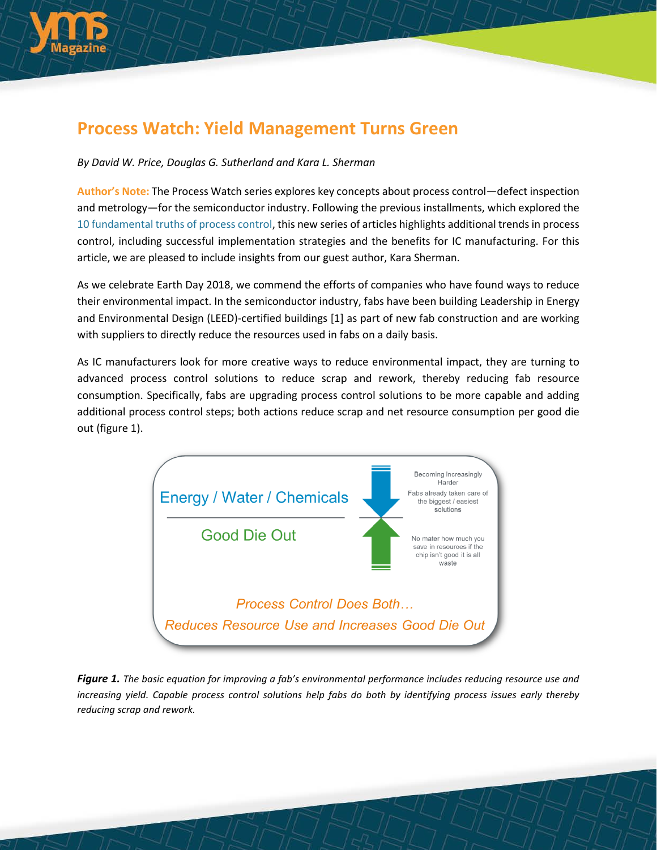

## **Process Watch: Yield Management Turns Green**

### *By David W. Price, Douglas G. Sutherland and Kara L. Sherman*

**Author's Note:** The Process Watch series explores key concepts about process control—defect inspection and metrology—for the semiconductor industry. Following the previous installments, which explored the [10 fundamental truths of process control,](http://electroiq.com/blog/2014/07/process-watch-the-10-fundamental-truths-of-process-control-for-the-semiconductor-ic-industry/) this new series of articles highlights additional trends in process control, including successful implementation strategies and the benefits for IC manufacturing. For this article, we are pleased to include insights from our guest author, Kara Sherman.

As we celebrate Earth Day 2018, we commend the efforts of companies who have found ways to reduce their environmental impact. In the semiconductor industry, fabs have been building Leadership in Energy and Environmental Design (LEED)-certified buildings [1] as part of new fab construction and are working with suppliers to directly reduce the resources used in fabs on a daily basis.

As IC manufacturers look for more creative ways to reduce environmental impact, they are turning to advanced process control solutions to reduce scrap and rework, thereby reducing fab resource consumption. Specifically, fabs are upgrading process control solutions to be more capable and adding additional process control steps; both actions reduce scrap and net resource consumption per good die out (figure 1).



*Figure 1. The basic equation for improving a fab's environmental performance includes reducing resource use and* increasing vield. Capable process control solutions help fabs do both by identifying process issues early thereby *reducing scrap and rework.*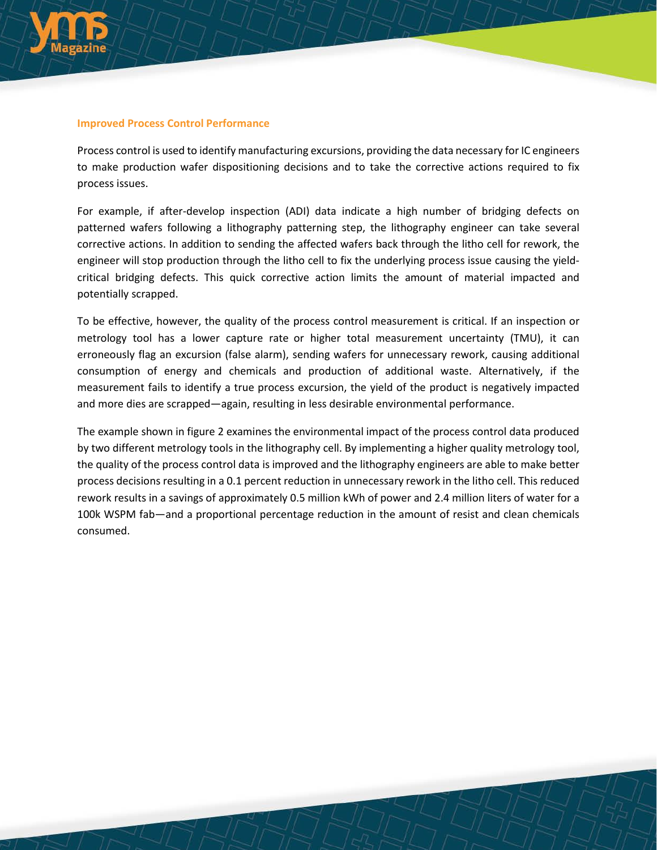

#### **Improved Process Control Performance**

Process control is used to identify manufacturing excursions, providing the data necessary for IC engineers to make production wafer dispositioning decisions and to take the corrective actions required to fix process issues.

For example, if after-develop inspection (ADI) data indicate a high number of bridging defects on patterned wafers following a lithography patterning step, the lithography engineer can take several corrective actions. In addition to sending the affected wafers back through the litho cell for rework, the engineer will stop production through the litho cell to fix the underlying process issue causing the yieldcritical bridging defects. This quick corrective action limits the amount of material impacted and potentially scrapped.

To be effective, however, the quality of the process control measurement is critical. If an inspection or metrology tool has a lower capture rate or higher total measurement uncertainty (TMU), it can erroneously flag an excursion (false alarm), sending wafers for unnecessary rework, causing additional consumption of energy and chemicals and production of additional waste. Alternatively, if the measurement fails to identify a true process excursion, the yield of the product is negatively impacted and more dies are scrapped—again, resulting in less desirable environmental performance.

The example shown in figure 2 examines the environmental impact of the process control data produced by two different metrology tools in the lithography cell. By implementing a higher quality metrology tool, the quality of the process control data is improved and the lithography engineers are able to make better process decisions resulting in a 0.1 percent reduction in unnecessary rework in the litho cell. This reduced rework results in a savings of approximately 0.5 million kWh of power and 2.4 million liters of water for a 100k WSPM fab—and a proportional percentage reduction in the amount of resist and clean chemicals consumed.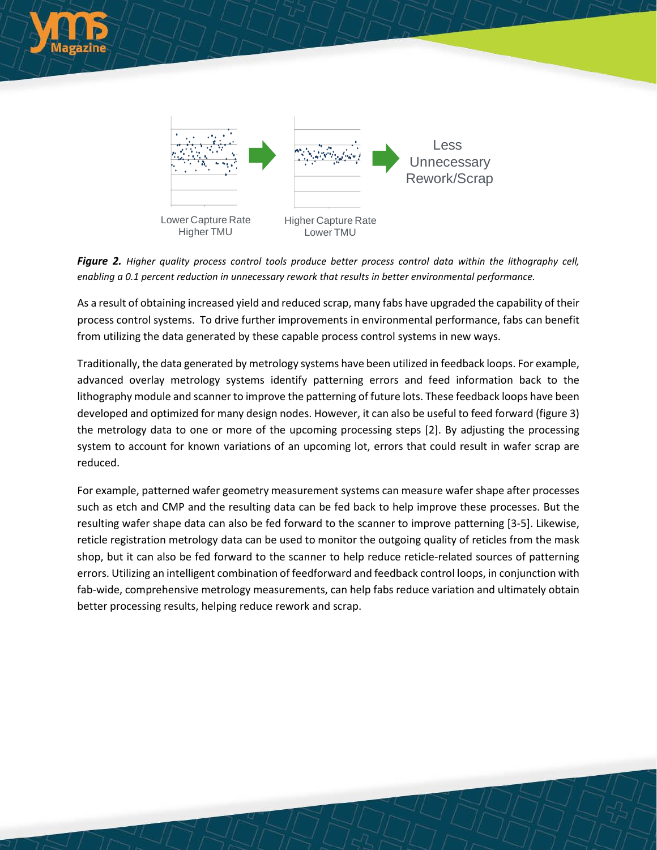

*Figure 2. Higher quality process control tools produce better process control data within the lithography cell, enabling a 0.1 percent reduction in unnecessary rework that results in better environmental performance.*

As a result of obtaining increased yield and reduced scrap, many fabs have upgraded the capability of their process control systems. To drive further improvements in environmental performance, fabs can benefit from utilizing the data generated by these capable process control systems in new ways.

Traditionally, the data generated by metrology systems have been utilized in feedback loops. For example, advanced overlay metrology systems identify patterning errors and feed information back to the lithography module and scanner to improve the patterning of future lots. These feedback loops have been developed and optimized for many design nodes. However, it can also be useful to feed forward (figure 3) the metrology data to one or more of the upcoming processing steps [2]. By adjusting the processing system to account for known variations of an upcoming lot, errors that could result in wafer scrap are reduced.

For example, patterned wafer geometry measurement systems can measure wafer shape after processes such as etch and CMP and the resulting data can be fed back to help improve these processes. But the resulting wafer shape data can also be fed forward to the scanner to improve patterning [3-5]. Likewise, reticle registration metrology data can be used to monitor the outgoing quality of reticles from the mask shop, but it can also be fed forward to the scanner to help reduce reticle-related sources of patterning errors. Utilizing an intelligent combination of feedforward and feedback control loops, in conjunction with fab-wide, comprehensive metrology measurements, can help fabs reduce variation and ultimately obtain better processing results, helping reduce rework and scrap.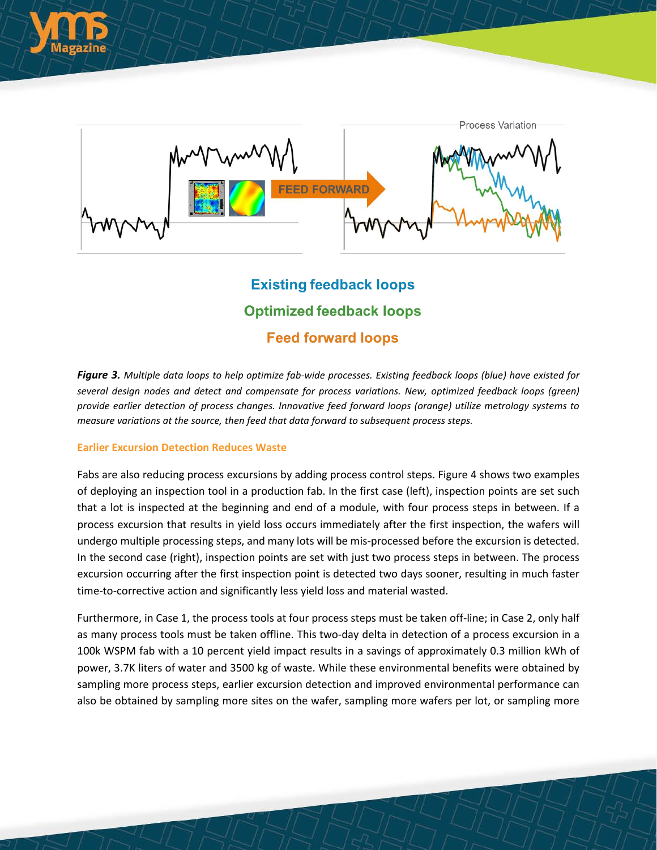



# **Existing feedback loops Optimized feedback loops Feed forward loops**

Figure 3. Multiple data loops to help optimize fab-wide processes. Existing feedback loops (blue) have existed for *several design nodes and detect and compensate for process variations. New, optimized feedback loops (green) provide earlier detection of process changes. Innovative feed forward loops (orange) utilize metrology systems to measure variations at the source, then feed that data forward to subsequent process steps.*

#### **Earlier Excursion Detection Reduces Waste**

Fabs are also reducing process excursions by adding process control steps. Figure 4 shows two examples of deploying an inspection tool in a production fab. In the first case (left), inspection points are set such that a lot is inspected at the beginning and end of a module, with four process steps in between. If a process excursion that results in yield loss occurs immediately after the first inspection, the wafers will undergo multiple processing steps, and many lots will be mis-processed before the excursion is detected. In the second case (right), inspection points are set with just two process steps in between. The process excursion occurring after the first inspection point is detected two days sooner, resulting in much faster time-to-corrective action and significantly less yield loss and material wasted.

Furthermore, in Case 1, the process tools at four process steps must be taken off-line; in Case 2, only half as many process tools must be taken offline. This two-day delta in detection of a process excursion in a 100k WSPM fab with a 10 percent yield impact results in a savings of approximately 0.3 million kWh of power, 3.7K liters of water and 3500 kg of waste. While these environmental benefits were obtained by sampling more process steps, earlier excursion detection and improved environmental performance can also be obtained by sampling more sites on the wafer, sampling more wafers per lot, or sampling more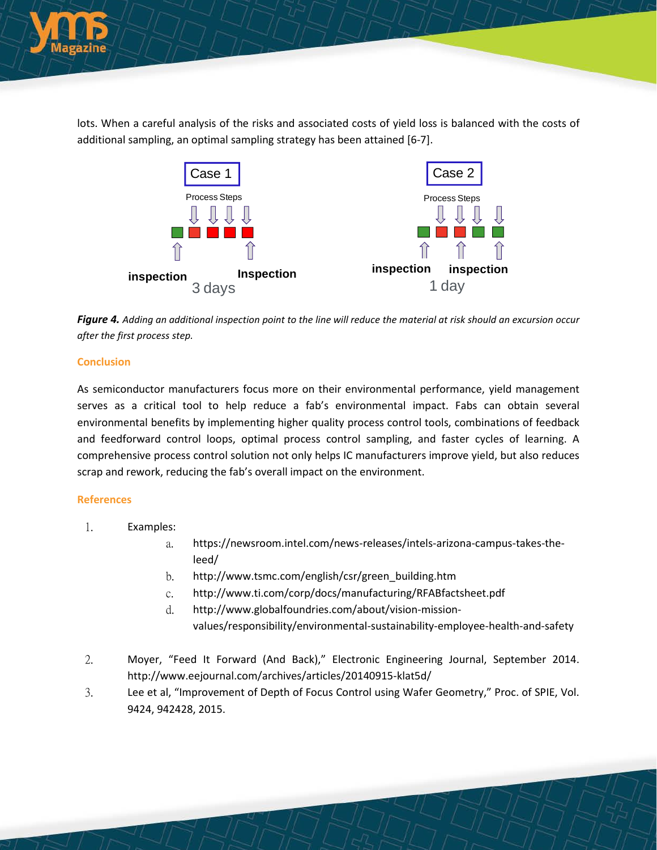

lots. When a careful analysis of the risks and associated costs of yield loss is balanced with the costs of additional sampling, an optimal sampling strategy has been attained [6-7].



Figure 4. Adding an additional inspection point to the line will reduce the material at risk should an excursion occur *after the first process step.*

#### **Conclusion**

As semiconductor manufacturers focus more on their environmental performance, yield management serves as a critical tool to help reduce a fab's environmental impact. Fabs can obtain several environmental benefits by implementing higher quality process control tools, combinations of feedback and feedforward control loops, optimal process control sampling, and faster cycles of learning. A comprehensive process control solution not only helps IC manufacturers improve yield, but also reduces scrap and rework, reducing the fab's overall impact on the environment.

#### **References**

- 1. Examples:
	- a. [https://newsroom.intel.com/news-releases/intels-arizona-campus-takes-the](https://newsroom.intel.com/news-releases/intels-arizona-campus-takes-the-leed/)[leed/](https://newsroom.intel.com/news-releases/intels-arizona-campus-takes-the-leed/)
	- b. [http://www.tsmc.com/english/csr/green\\_building.htm](http://www.tsmc.com/english/csr/green_building.htm)
	- c. <http://www.ti.com/corp/docs/manufacturing/RFABfactsheet.pdf>
	- d. [http://www.globalfoundries.com/about/vision-mission](http://www.globalfoundries.com/about/vision-mission-values/responsibility/environmental-sustainability-employee-health-and-safety)[values/responsibility/environmental-sustainability-employee-health-and-safety](http://www.globalfoundries.com/about/vision-mission-values/responsibility/environmental-sustainability-employee-health-and-safety)
- 2. Moyer, "Feed It Forward (And Back)," Electronic Engineering Journal, September 2014. <http://www.eejournal.com/archives/articles/20140915-klat5d/>
- 3. Lee et al, "Improvement of Depth of Focus Control using Wafer Geometry," Proc. of SPIE, Vol. 9424, 942428, 2015.